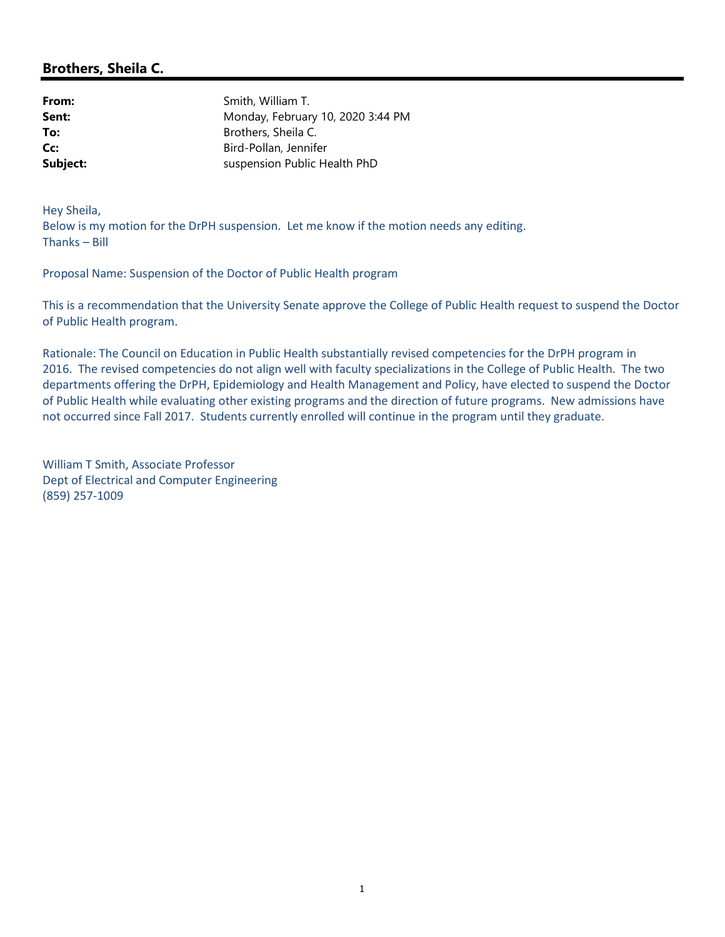## Brothers, Sheila C.

| From:    | Smith, William T.                 |
|----------|-----------------------------------|
| Sent:    | Monday, February 10, 2020 3:44 PM |
| To:      | Brothers, Sheila C.               |
| Cc:      | Bird-Pollan, Jennifer             |
| Subject: | suspension Public Health PhD      |

Hey Sheila, Below is my motion for the DrPH suspension. Let me know if the motion needs any editing. Thanks – Bill

Proposal Name: Suspension of the Doctor of Public Health program

This is a recommendation that the University Senate approve the College of Public Health request to suspend the Doctor of Public Health program.

Rationale: The Council on Education in Public Health substantially revised competencies for the DrPH program in 2016. The revised competencies do not align well with faculty specializations in the College of Public Health. The two departments offering the DrPH, Epidemiology and Health Management and Policy, have elected to suspend the Doctor of Public Health while evaluating other existing programs and the direction of future programs. New admissions have not occurred since Fall 2017. Students currently enrolled will continue in the program until they graduate.

William T Smith, Associate Professor Dept of Electrical and Computer Engineering (859) 257-1009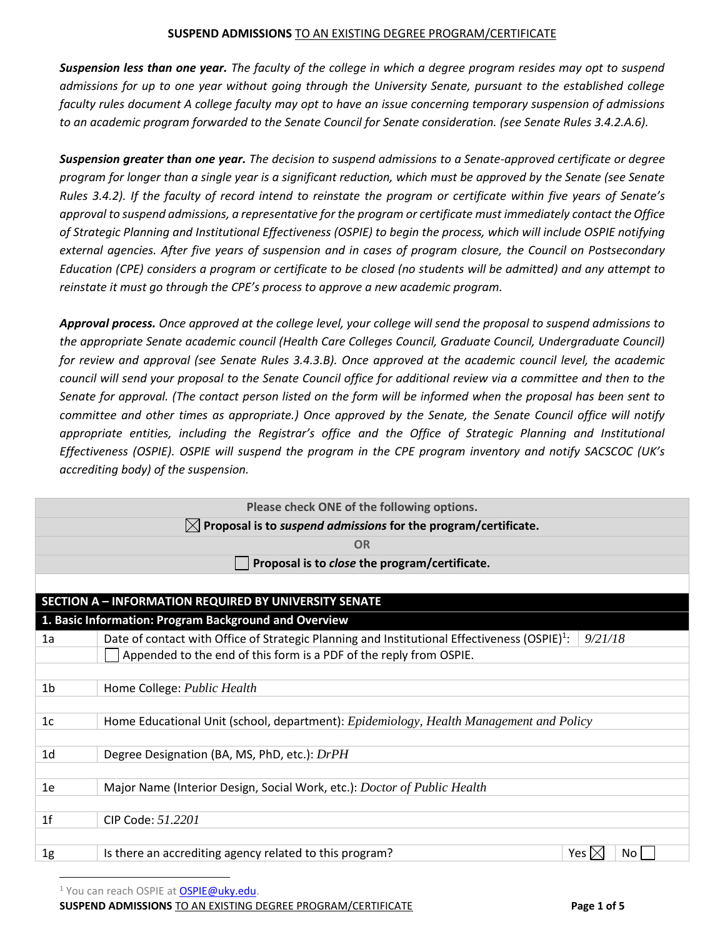*Suspension less than one year. The faculty of the college in which a degree program resides may opt to suspend admissions for up to one year without going through the University Senate, pursuant to the established college faculty rules document A college faculty may opt to have an issue concerning temporary suspension of admissions to an academic program forwarded to the Senate Council for Senate consideration. (see Senate Rules 3.4.2.A.6).*

*Suspension greater than one year. The decision to suspend admissions to a Senate-approved certificate or degree program for longer than a single year is a significant reduction, which must be approved by the Senate (see Senate Rules 3.4.2). If the faculty of record intend to reinstate the program or certificate within five years of Senate's approval to suspend admissions, a representative for the program or certificate must immediately contact the Office of Strategic Planning and Institutional Effectiveness (OSPIE) to begin the process, which will include OSPIE notifying external agencies. After five years of suspension and in cases of program closure, the Council on Postsecondary Education (CPE) considers a program or certificate to be closed (no students will be admitted) and any attempt to reinstate it must go through the CPE's process to approve a new academic program.*

*Approval process. Once approved at the college level, your college will send the proposal to suspend admissions to the appropriate Senate academic council (Health Care Colleges Council, Graduate Council, Undergraduate Council) for review and approval (see Senate Rules 3.4.3.B). Once approved at the academic council level, the academic council will send your proposal to the Senate Council office for additional review via a committee and then to the Senate for approval. (The contact person listed on the form will be informed when the proposal has been sent to committee and other times as appropriate.) Once approved by the Senate, the Senate Council office will notify appropriate entities, including the Registrar's office and the Office of Strategic Planning and Institutional Effectiveness (OSPIE). OSPIE will suspend the program in the CPE program inventory and notify SACSCOC (UK's accrediting body) of the suspension.* 

| Please check ONE of the following options.                                 |                                                                                                                     |  |  |  |  |
|----------------------------------------------------------------------------|---------------------------------------------------------------------------------------------------------------------|--|--|--|--|
| $\boxtimes$ Proposal is to suspend admissions for the program/certificate. |                                                                                                                     |  |  |  |  |
|                                                                            | <b>OR</b>                                                                                                           |  |  |  |  |
|                                                                            | Proposal is to close the program/certificate.                                                                       |  |  |  |  |
|                                                                            |                                                                                                                     |  |  |  |  |
|                                                                            | <b>SECTION A - INFORMATION REQUIRED BY UNIVERSITY SENATE</b>                                                        |  |  |  |  |
|                                                                            | 1. Basic Information: Program Background and Overview                                                               |  |  |  |  |
| 1a                                                                         | Date of contact with Office of Strategic Planning and Institutional Effectiveness (OSPIE) <sup>1</sup> :<br>9/21/18 |  |  |  |  |
|                                                                            | Appended to the end of this form is a PDF of the reply from OSPIE.                                                  |  |  |  |  |
|                                                                            |                                                                                                                     |  |  |  |  |
| 1 <sub>b</sub>                                                             | Home College: Public Health                                                                                         |  |  |  |  |
| 1 <sub>c</sub>                                                             | Home Educational Unit (school, department): Epidemiology, Health Management and Policy                              |  |  |  |  |
| 1 <sub>d</sub>                                                             | Degree Designation (BA, MS, PhD, etc.): DrPH                                                                        |  |  |  |  |
| 1e                                                                         | Major Name (Interior Design, Social Work, etc.): Doctor of Public Health                                            |  |  |  |  |
| 1 <sup>f</sup>                                                             | CIP Code: 51.2201                                                                                                   |  |  |  |  |
| 1 <sub>g</sub>                                                             | Is there an accrediting agency related to this program?<br>Yes $\mathsf{I}\times$<br>No <sub>1</sub>                |  |  |  |  |

<sup>1</sup> You can reach OSPIE at **OSPIE@uky.edu**.

**SUSPEND ADMISSIONS** TO AN EXISTING DEGREE PROGRAM/CERTIFICATE **Page 1 of 5**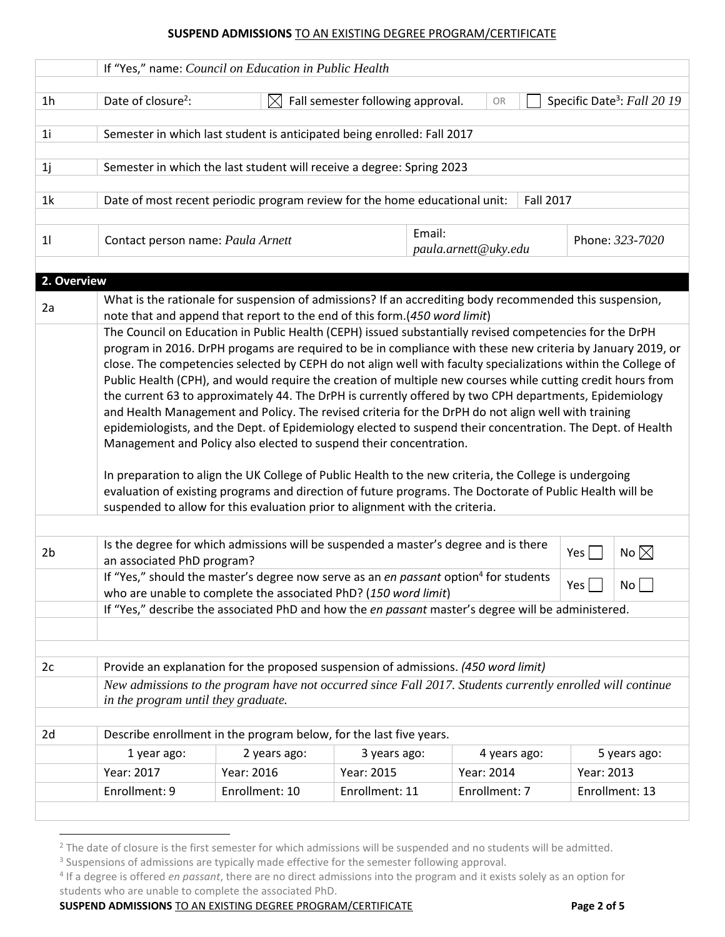|                   | If "Yes," name: Council on Education in Public Health                                                                                                                                                                                                                                                                                                                                                                                                                                                                                                                                                                                                                                                                                                                                                                                                                                                                                   |                                                                                                                                                                                       |                |  |               |  |            |                |
|-------------------|-----------------------------------------------------------------------------------------------------------------------------------------------------------------------------------------------------------------------------------------------------------------------------------------------------------------------------------------------------------------------------------------------------------------------------------------------------------------------------------------------------------------------------------------------------------------------------------------------------------------------------------------------------------------------------------------------------------------------------------------------------------------------------------------------------------------------------------------------------------------------------------------------------------------------------------------|---------------------------------------------------------------------------------------------------------------------------------------------------------------------------------------|----------------|--|---------------|--|------------|----------------|
| 1 <sub>h</sub>    | Date of closure <sup>2</sup> :<br>Specific Date <sup>3</sup> : Fall 20 19<br>Fall semester following approval.<br>$\boxtimes$<br>OR                                                                                                                                                                                                                                                                                                                                                                                                                                                                                                                                                                                                                                                                                                                                                                                                     |                                                                                                                                                                                       |                |  |               |  |            |                |
| 1 <sub>i</sub>    | Semester in which last student is anticipated being enrolled: Fall 2017                                                                                                                                                                                                                                                                                                                                                                                                                                                                                                                                                                                                                                                                                                                                                                                                                                                                 |                                                                                                                                                                                       |                |  |               |  |            |                |
| 1j                |                                                                                                                                                                                                                                                                                                                                                                                                                                                                                                                                                                                                                                                                                                                                                                                                                                                                                                                                         | Semester in which the last student will receive a degree: Spring 2023                                                                                                                 |                |  |               |  |            |                |
| 1 <sub>k</sub>    |                                                                                                                                                                                                                                                                                                                                                                                                                                                                                                                                                                                                                                                                                                                                                                                                                                                                                                                                         | Date of most recent periodic program review for the home educational unit:<br><b>Fall 2017</b>                                                                                        |                |  |               |  |            |                |
| 11                | Email:<br>Contact person name: Paula Arnett<br>Phone: 323-7020<br>paula.arnett@uky.edu                                                                                                                                                                                                                                                                                                                                                                                                                                                                                                                                                                                                                                                                                                                                                                                                                                                  |                                                                                                                                                                                       |                |  |               |  |            |                |
|                   |                                                                                                                                                                                                                                                                                                                                                                                                                                                                                                                                                                                                                                                                                                                                                                                                                                                                                                                                         |                                                                                                                                                                                       |                |  |               |  |            |                |
| 2. Overview<br>2a |                                                                                                                                                                                                                                                                                                                                                                                                                                                                                                                                                                                                                                                                                                                                                                                                                                                                                                                                         | What is the rationale for suspension of admissions? If an accrediting body recommended this suspension,<br>note that and append that report to the end of this form. (450 word limit) |                |  |               |  |            |                |
|                   | close. The competencies selected by CEPH do not align well with faculty specializations within the College of<br>Public Health (CPH), and would require the creation of multiple new courses while cutting credit hours from<br>the current 63 to approximately 44. The DrPH is currently offered by two CPH departments, Epidemiology<br>and Health Management and Policy. The revised criteria for the DrPH do not align well with training<br>epidemiologists, and the Dept. of Epidemiology elected to suspend their concentration. The Dept. of Health<br>Management and Policy also elected to suspend their concentration.<br>In preparation to align the UK College of Public Health to the new criteria, the College is undergoing<br>evaluation of existing programs and direction of future programs. The Doctorate of Public Health will be<br>suspended to allow for this evaluation prior to alignment with the criteria. |                                                                                                                                                                                       |                |  |               |  |            |                |
| 2 <sub>b</sub>    | Is the degree for which admissions will be suspended a master's degree and is there<br>No $\boxtimes$<br>Yes<br>an associated PhD program?                                                                                                                                                                                                                                                                                                                                                                                                                                                                                                                                                                                                                                                                                                                                                                                              |                                                                                                                                                                                       |                |  |               |  |            |                |
|                   | If "Yes," should the master's degree now serve as an en passant option <sup>4</sup> for students<br>Yes  <br>No <sub>1</sub><br>who are unable to complete the associated PhD? (150 word limit)                                                                                                                                                                                                                                                                                                                                                                                                                                                                                                                                                                                                                                                                                                                                         |                                                                                                                                                                                       |                |  |               |  |            |                |
|                   | If "Yes," describe the associated PhD and how the en passant master's degree will be administered.                                                                                                                                                                                                                                                                                                                                                                                                                                                                                                                                                                                                                                                                                                                                                                                                                                      |                                                                                                                                                                                       |                |  |               |  |            |                |
| 2c                |                                                                                                                                                                                                                                                                                                                                                                                                                                                                                                                                                                                                                                                                                                                                                                                                                                                                                                                                         |                                                                                                                                                                                       |                |  |               |  |            |                |
|                   | Provide an explanation for the proposed suspension of admissions. (450 word limit)<br>New admissions to the program have not occurred since Fall 2017. Students currently enrolled will continue<br>in the program until they graduate.                                                                                                                                                                                                                                                                                                                                                                                                                                                                                                                                                                                                                                                                                                 |                                                                                                                                                                                       |                |  |               |  |            |                |
| 2d                |                                                                                                                                                                                                                                                                                                                                                                                                                                                                                                                                                                                                                                                                                                                                                                                                                                                                                                                                         | Describe enrollment in the program below, for the last five years.                                                                                                                    |                |  |               |  |            |                |
|                   | 1 year ago:                                                                                                                                                                                                                                                                                                                                                                                                                                                                                                                                                                                                                                                                                                                                                                                                                                                                                                                             | 2 years ago:                                                                                                                                                                          | 3 years ago:   |  | 4 years ago:  |  |            | 5 years ago:   |
|                   | Year: 2017                                                                                                                                                                                                                                                                                                                                                                                                                                                                                                                                                                                                                                                                                                                                                                                                                                                                                                                              | Year: 2016                                                                                                                                                                            | Year: 2015     |  | Year: 2014    |  | Year: 2013 |                |
|                   | Enrollment: 9                                                                                                                                                                                                                                                                                                                                                                                                                                                                                                                                                                                                                                                                                                                                                                                                                                                                                                                           | Enrollment: 10                                                                                                                                                                        | Enrollment: 11 |  | Enrollment: 7 |  |            | Enrollment: 13 |
|                   |                                                                                                                                                                                                                                                                                                                                                                                                                                                                                                                                                                                                                                                                                                                                                                                                                                                                                                                                         |                                                                                                                                                                                       |                |  |               |  |            |                |

**SUSPEND ADMISSIONS** TO AN EXISTING DEGREE PROGRAM/CERTIFICATE **Page 2 of 5**

<sup>&</sup>lt;sup>2</sup> The date of closure is the first semester for which admissions will be suspended and no students will be admitted.

<sup>&</sup>lt;sup>3</sup> Suspensions of admissions are typically made effective for the semester following approval.

<sup>4</sup> If a degree is offered *en passant*, there are no direct admissions into the program and it exists solely as an option for students who are unable to complete the associated PhD.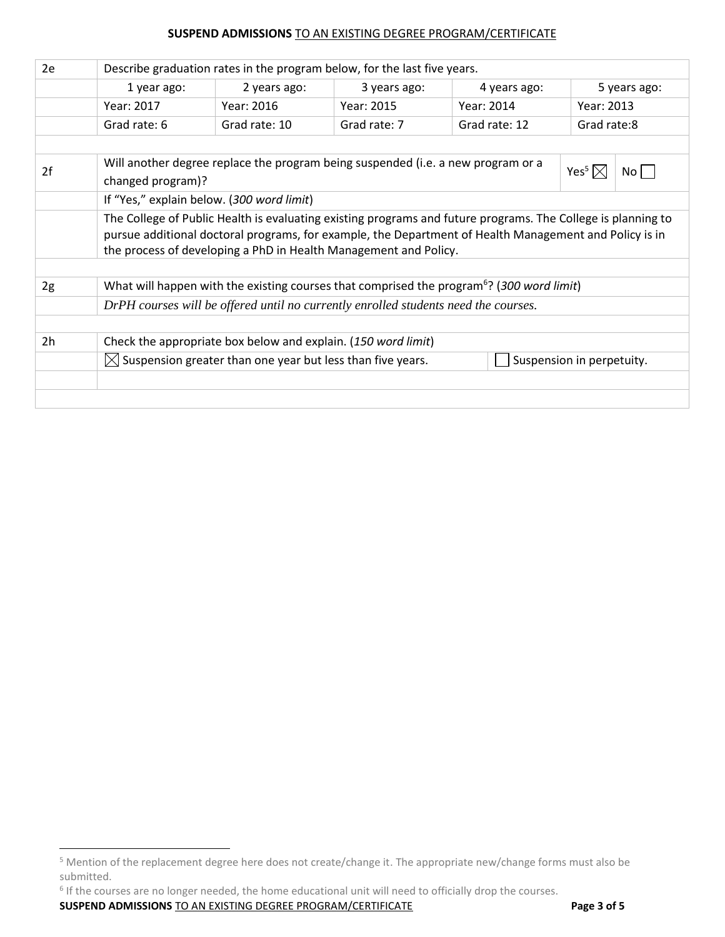| 2e             | Describe graduation rates in the program below, for the last five years.                                                                                                   |               |                                                                                  |               |                                    |  |
|----------------|----------------------------------------------------------------------------------------------------------------------------------------------------------------------------|---------------|----------------------------------------------------------------------------------|---------------|------------------------------------|--|
|                | 1 year ago:                                                                                                                                                                | 2 years ago:  | 3 years ago:                                                                     | 4 years ago:  | 5 years ago:                       |  |
|                | Year: 2017                                                                                                                                                                 | Year: 2016    | Year: 2015                                                                       | Year: 2014    | Year: 2013                         |  |
|                | Grad rate: 6                                                                                                                                                               | Grad rate: 10 | Grad rate: 7                                                                     | Grad rate: 12 | Grad rate:8                        |  |
|                |                                                                                                                                                                            |               |                                                                                  |               |                                    |  |
| 2f             |                                                                                                                                                                            |               | Will another degree replace the program being suspended (i.e. a new program or a |               | Yes <sup>5</sup> $\boxtimes$<br>No |  |
|                | changed program)?                                                                                                                                                          |               |                                                                                  |               |                                    |  |
|                | If "Yes," explain below. (300 word limit)                                                                                                                                  |               |                                                                                  |               |                                    |  |
|                | The College of Public Health is evaluating existing programs and future programs. The College is planning to                                                               |               |                                                                                  |               |                                    |  |
|                | pursue additional doctoral programs, for example, the Department of Health Management and Policy is in<br>the process of developing a PhD in Health Management and Policy. |               |                                                                                  |               |                                    |  |
|                |                                                                                                                                                                            |               |                                                                                  |               |                                    |  |
| 2g             | What will happen with the existing courses that comprised the program <sup>6</sup> ? (300 word limit)                                                                      |               |                                                                                  |               |                                    |  |
|                | DrPH courses will be offered until no currently enrolled students need the courses.                                                                                        |               |                                                                                  |               |                                    |  |
|                |                                                                                                                                                                            |               |                                                                                  |               |                                    |  |
| 2 <sub>h</sub> | Check the appropriate box below and explain. (150 word limit)                                                                                                              |               |                                                                                  |               |                                    |  |
|                | $\boxtimes$ Suspension greater than one year but less than five years.<br>Suspension in perpetuity.                                                                        |               |                                                                                  |               |                                    |  |
|                |                                                                                                                                                                            |               |                                                                                  |               |                                    |  |
|                |                                                                                                                                                                            |               |                                                                                  |               |                                    |  |

<sup>6</sup> If the courses are no longer needed, the home educational unit will need to officially drop the courses.

**SUSPEND ADMISSIONS** TO AN EXISTING DEGREE PROGRAM/CERTIFICATE **Page 3 of 5**

<sup>&</sup>lt;sup>5</sup> Mention of the replacement degree here does not create/change it. The appropriate new/change forms must also be submitted.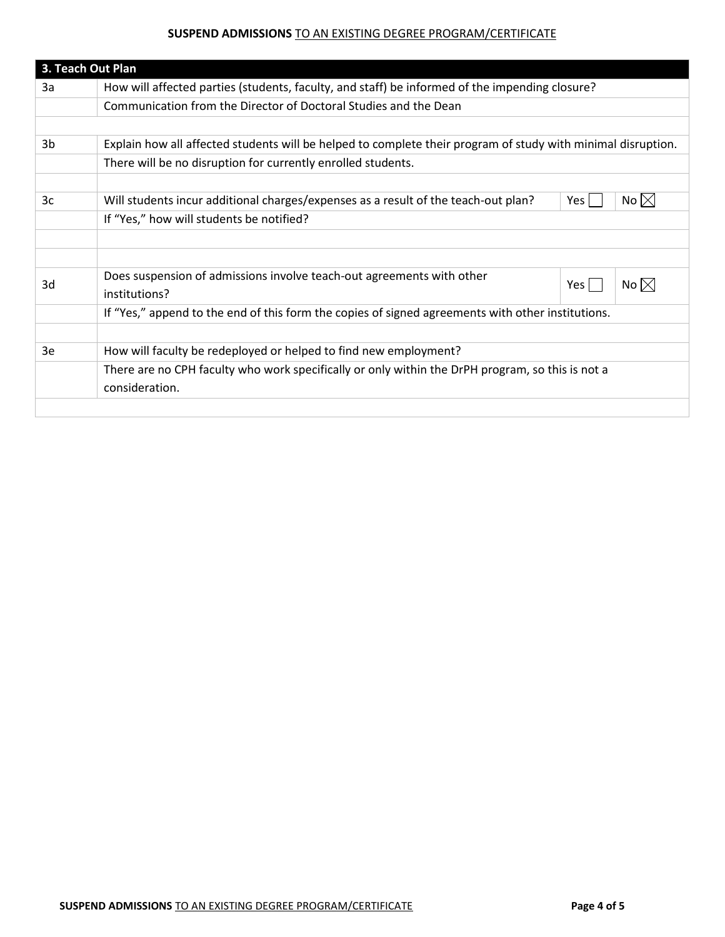| 3. Teach Out Plan |                                                                                                                    |  |  |  |  |
|-------------------|--------------------------------------------------------------------------------------------------------------------|--|--|--|--|
| 3a                | How will affected parties (students, faculty, and staff) be informed of the impending closure?                     |  |  |  |  |
|                   | Communication from the Director of Doctoral Studies and the Dean                                                   |  |  |  |  |
|                   |                                                                                                                    |  |  |  |  |
| 3b                | Explain how all affected students will be helped to complete their program of study with minimal disruption.       |  |  |  |  |
|                   | There will be no disruption for currently enrolled students.                                                       |  |  |  |  |
|                   |                                                                                                                    |  |  |  |  |
| 3c                | No $\boxtimes$<br>Will students incur additional charges/expenses as a result of the teach-out plan?<br>Yes        |  |  |  |  |
|                   | If "Yes," how will students be notified?                                                                           |  |  |  |  |
|                   |                                                                                                                    |  |  |  |  |
|                   |                                                                                                                    |  |  |  |  |
| 3d                | Does suspension of admissions involve teach-out agreements with other<br>No $\boxtimes$<br>Yes<br>institutions?    |  |  |  |  |
|                   | If "Yes," append to the end of this form the copies of signed agreements with other institutions.                  |  |  |  |  |
|                   |                                                                                                                    |  |  |  |  |
| 3e                | How will faculty be redeployed or helped to find new employment?                                                   |  |  |  |  |
|                   | There are no CPH faculty who work specifically or only within the DrPH program, so this is not a<br>consideration. |  |  |  |  |
|                   |                                                                                                                    |  |  |  |  |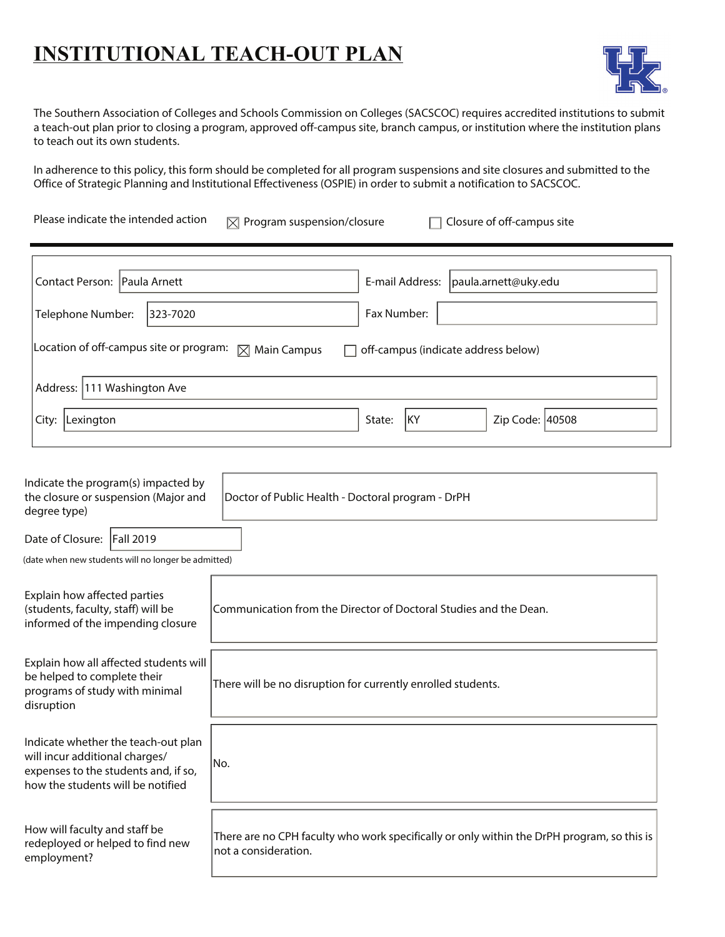# **INSTITUTIONAL TEACH-OUT PLAN**



The Southern Association of Colleges and Schools Commission on Colleges (SACSCOC) requires accredited institutions to submit a teach-out plan prior to closing a program, approved off-campus site, branch campus, or institution where the institution plans to teach out its own students.

In adherence to this policy, this form should be completed for all program suspensions and site closures and submitted to the Office of Strategic Planning and Institutional Effectiveness (OSPIE) in order to submit a notification to SACSCOC.

Please indicate the intended action  $\mathbb{R}$  Program suspension/closure  $\Box$  Closure of off-campus site

| Contact Person: Paula Arnett                                                                           |          | E-mail Address:<br>paula.arnett@uky.edu |  |  |
|--------------------------------------------------------------------------------------------------------|----------|-----------------------------------------|--|--|
| Telephone Number:                                                                                      | 323-7020 | Fax Number:                             |  |  |
| Location of off-campus site or program: $\Box$ Main Campus<br>off-campus (indicate address below)<br>ш |          |                                         |  |  |
| Address: 111 Washington Ave                                                                            |          |                                         |  |  |
| City:<br>Lexington                                                                                     |          | KY<br>Zip Code: 40508<br>State:         |  |  |

| Indicate the program(s) impacted by<br>the closure or suspension (Major and<br>degree type)                                                        | Doctor of Public Health - Doctoral program - DrPH                                                                  |  |  |  |
|----------------------------------------------------------------------------------------------------------------------------------------------------|--------------------------------------------------------------------------------------------------------------------|--|--|--|
| Date of Closure:   Fall 2019                                                                                                                       |                                                                                                                    |  |  |  |
| (date when new students will no longer be admitted)                                                                                                |                                                                                                                    |  |  |  |
| Explain how affected parties<br>(students, faculty, staff) will be<br>informed of the impending closure                                            | Communication from the Director of Doctoral Studies and the Dean.                                                  |  |  |  |
| Explain how all affected students will<br>be helped to complete their<br>programs of study with minimal<br>disruption                              | There will be no disruption for currently enrolled students.                                                       |  |  |  |
| Indicate whether the teach-out plan<br>will incur additional charges/<br>expenses to the students and, if so,<br>how the students will be notified | No.                                                                                                                |  |  |  |
| How will faculty and staff be<br>redeployed or helped to find new<br>employment?                                                                   | There are no CPH faculty who work specifically or only within the DrPH program, so this is<br>not a consideration. |  |  |  |